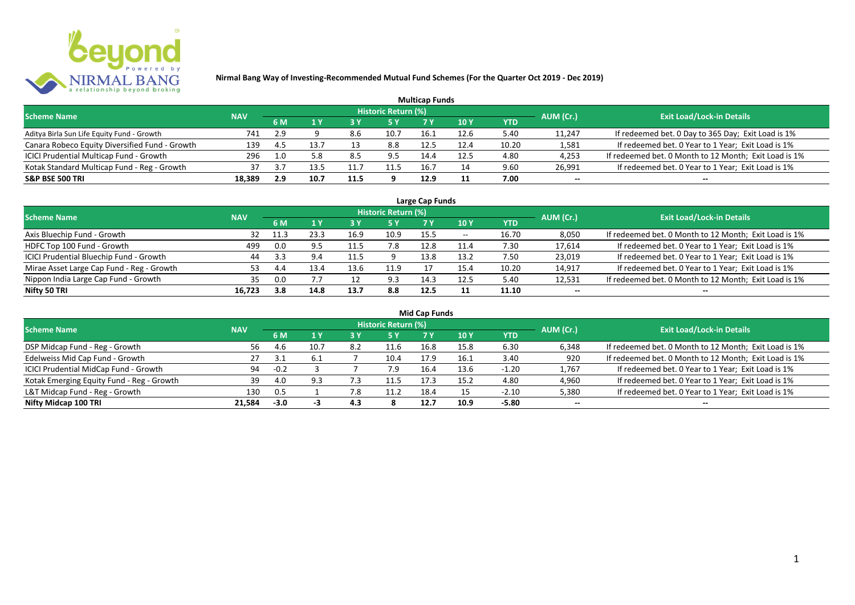

|                                                |            |      |      |      |                            | <b>Multicap Funds</b> |             |            |           |                                                       |
|------------------------------------------------|------------|------|------|------|----------------------------|-----------------------|-------------|------------|-----------|-------------------------------------------------------|
| <b>Scheme Name</b>                             | <b>NAV</b> |      |      |      | <b>Historic Return (%)</b> |                       |             |            | AUM (Cr.) | <b>Exit Load/Lock-in Details</b>                      |
|                                                |            | 6 M  |      |      |                            |                       | <b>10 Y</b> | <b>YTD</b> |           |                                                       |
| Aditya Birla Sun Life Equity Fund - Growth     | 741        | 2.9  |      | 8.6  | 10.7                       | 16.1                  | 12.6        | 5.40       | 11,247    | If redeemed bet. 0 Day to 365 Day; Exit Load is 1%    |
| Canara Robeco Equity Diversified Fund - Growth | 139        | -4.5 |      | 13   | 8.8                        | 12.5                  |             | 10.20      | 1,581     | If redeemed bet. 0 Year to 1 Year; Exit Load is 1%    |
| ICICI Prudential Multicap Fund - Growth        | 296        | 1.0  |      | -8.5 | 9.5                        | 14.4                  | 12.5        | 4.80       | 4,253     | If redeemed bet. 0 Month to 12 Month; Exit Load is 1% |
| Kotak Standard Multicap Fund - Reg - Growth    | 37         | 3.   |      | 11.7 |                            | 16.7                  |             | 9.60       | 26,991    | If redeemed bet. 0 Year to 1 Year; Exit Load is 1%    |
| <b>S&amp;P BSE 500 TRI</b>                     | 18,389     | 2.9  | 10.7 | 11.5 |                            | 12.9                  |             | 7.00       | $- -$     | $- -$                                                 |

| Large Cap Funds                           |            |      |      |      |                            |      |            |            |           |                                                       |  |  |  |
|-------------------------------------------|------------|------|------|------|----------------------------|------|------------|------------|-----------|-------------------------------------------------------|--|--|--|
| <b>Scheme Name</b>                        | <b>NAV</b> |      |      |      | <b>Historic Return (%)</b> |      |            |            | AUM (Cr.) | <b>Exit Load/Lock-in Details</b>                      |  |  |  |
|                                           |            | 6 M  |      |      | 5 Y                        |      | <b>10Y</b> | <b>YTD</b> |           |                                                       |  |  |  |
| Axis Bluechip Fund - Growth               | 32         | 11.3 | 23.3 | 16.9 | 10.9                       | 15.5 | $- -$      | 16.70      | 8,050     | If redeemed bet. 0 Month to 12 Month; Exit Load is 1% |  |  |  |
| HDFC Top 100 Fund - Growth                | 499        | 0.0  | 9.5  |      | 7.8                        | 12.8 | 11.4       | 7.30       | 17,614    | If redeemed bet. 0 Year to 1 Year; Exit Load is 1%    |  |  |  |
| ICICI Prudential Bluechip Fund - Growth   | 44         | 3.3  | 9.4  | 11.5 |                            | 13.8 | 13.2       | 7.50       | 23,019    | If redeemed bet. 0 Year to 1 Year; Exit Load is 1%    |  |  |  |
| Mirae Asset Large Cap Fund - Reg - Growth | 53.        | 4.4  | 13.4 | 13.6 | 11.9                       |      | 15.4       | 10.20      | 14,917    | If redeemed bet. 0 Year to 1 Year; Exit Load is 1%    |  |  |  |
| Nippon India Large Cap Fund - Growth      | 35         | 0.0  |      |      | 9.3                        | 14.5 | 12.5       | 5.40       | 12,531    | If redeemed bet. 0 Month to 12 Month; Exit Load is 1% |  |  |  |
| Nifty 50 TRI                              | 16.723     | 3.8  | 14.8 | 13.7 | 8.8                        | 12.5 | 11         | 11.10      | $- -$     | $- -$                                                 |  |  |  |

| <b>Mid Cap Funds</b>                      |            |        |      |     |                            |      |      |            |           |                                                       |  |  |  |
|-------------------------------------------|------------|--------|------|-----|----------------------------|------|------|------------|-----------|-------------------------------------------------------|--|--|--|
| <b>Scheme Name</b>                        | <b>NAV</b> |        |      |     | <b>Historic Return (%)</b> |      |      |            | AUM (Cr.) | <b>Exit Load/Lock-in Details</b>                      |  |  |  |
|                                           |            | 6 M    |      |     | 5 Y                        | 7 Y  | 10 Y | <b>YTD</b> |           |                                                       |  |  |  |
| DSP Midcap Fund - Reg - Growth            | 56.        | 4.b    | 10.7 | 8.2 | 11.6                       | 16.8 | 15.8 | 6.30       | 6,348     | If redeemed bet. 0 Month to 12 Month; Exit Load is 1% |  |  |  |
| Edelweiss Mid Cap Fund - Growth           | 27         |        | -6.1 |     | 10.4                       | 17.9 | 16.1 | 3.40       | 920       | If redeemed bet. 0 Month to 12 Month; Exit Load is 1% |  |  |  |
| ICICI Prudential MidCap Fund - Growth     | 94         | $-0.2$ |      |     | 7.9                        | 16.4 | 13.6 | $-1.20$    | 1,767     | If redeemed bet. 0 Year to 1 Year; Exit Load is 1%    |  |  |  |
| Kotak Emerging Equity Fund - Reg - Growth | 39         | 4.0    |      |     | 11.5                       | 17.5 | 15.2 | 4.80       | 4,960     | If redeemed bet. 0 Year to 1 Year; Exit Load is 1%    |  |  |  |
| L&T Midcap Fund - Reg - Growth            | 130        | 0.5    |      | 7.8 | 11.2                       | 18.4 |      | $-2.10$    | 5,380     | If redeemed bet. 0 Year to 1 Year; Exit Load is 1%    |  |  |  |
| Nifty Midcap 100 TRI                      | 21.584     | $-3.0$ |      | 4.3 |                            | 12.7 | 10.9 | $-5.80$    | $- -$     | $- -$                                                 |  |  |  |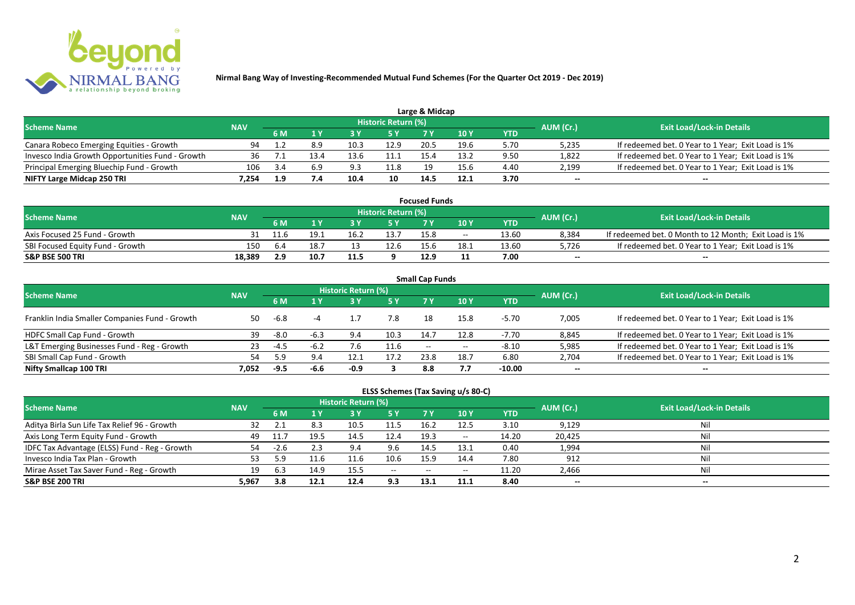

|                                                  |            |     |     |      |                            | Large & Midcap |      |      |           |                                                    |
|--------------------------------------------------|------------|-----|-----|------|----------------------------|----------------|------|------|-----------|----------------------------------------------------|
| <b>Scheme Name</b>                               | <b>NAV</b> |     |     |      | <b>Historic Return (%)</b> |                |      |      | AUM (Cr.) | <b>Exit Load/Lock-in Details</b>                   |
|                                                  |            | 6 M |     |      | 5 Y                        | 7 V            |      | YTD  |           |                                                    |
| Canara Robeco Emerging Equities - Growth         | 94         |     | 8.9 | 10.3 | 12.9                       | 20.5           | 19.6 | 5.70 | 5,235     | If redeemed bet. 0 Year to 1 Year; Exit Load is 1% |
| Invesco India Growth Opportunities Fund - Growth |            |     |     | 13.6 |                            |                | 13.2 | 9.50 | 1,822     | If redeemed bet. 0 Year to 1 Year; Exit Load is 1% |
| Principal Emerging Bluechip Fund - Growth        | 106        | 3.4 | 6.9 | 9.3  | 11.8                       | 19             | 15.6 | 4.40 | 2,199     | If redeemed bet. 0 Year to 1 Year; Exit Load is 1% |
| NIFTY Large Midcap 250 TRI                       | 7.254      | 1.9 | 7.4 | 10.4 | 10                         | 14.5           | 12.1 | 3.70 | $- -$     | $- -$                                              |

| <b>Focused Funds</b>             |            |      |      |      |                            |                 |       |       |           |                                                       |  |  |  |
|----------------------------------|------------|------|------|------|----------------------------|-----------------|-------|-------|-----------|-------------------------------------------------------|--|--|--|
| <b>Scheme Name</b>               | <b>NAV</b> |      |      |      | <b>Historic Return (%)</b> |                 |       |       | AUM (Cr.) | <b>Exit Load/Lock-in Details</b>                      |  |  |  |
|                                  |            | 6 M  |      |      | 5 Y                        |                 | 10 Y  | YTD   |           |                                                       |  |  |  |
| Axis Focused 25 Fund - Growth    |            | 11.6 | 19.1 | 16.2 | 13.7                       | 15.8            | $- -$ | 13.60 | 8,384     | If redeemed bet. 0 Month to 12 Month; Exit Load is 1% |  |  |  |
| SBI Focused Equity Fund - Growth | 150        | 6.4  | 18.7 |      | 12.6                       | 15 <sub>6</sub> | 18.1  | 13.60 | 5,726     | If redeemed bet. 0 Year to 1 Year; Exit Load is 1%    |  |  |  |
| <b>S&amp;P BSE 500 TRI</b>       | 18.389     | 2.9  | 10.7 | 11.5 |                            | 12.9            |       | 7.00  | $- -$     | $-$                                                   |  |  |  |

| <b>Small Cap Funds</b>                         |            |        |        |                     |           |                   |       |            |           |                                                    |  |  |  |
|------------------------------------------------|------------|--------|--------|---------------------|-----------|-------------------|-------|------------|-----------|----------------------------------------------------|--|--|--|
| <b>Scheme Name</b>                             | <b>NAV</b> |        |        | Historic Return (%) |           |                   |       |            | AUM (Cr.) | <b>Exit Load/Lock-in Details</b>                   |  |  |  |
|                                                |            |        |        |                     | <b>5Y</b> | 7 Y               | 10Y   | <b>YTD</b> |           |                                                    |  |  |  |
| Franklin India Smaller Companies Fund - Growth | 50         | -6.8   |        |                     | 7.8       | 18                | 15.8  | $-5.70$    | 7,005     | If redeemed bet. 0 Year to 1 Year; Exit Load is 1% |  |  |  |
| HDFC Small Cap Fund - Growth                   | 39         | $-8.0$ | $-6.3$ | 9.4                 | 10.3      | 14.7              | 12.8  | -7.70      | 8,845     | If redeemed bet. 0 Year to 1 Year; Exit Load is 1% |  |  |  |
| L&T Emerging Businesses Fund - Reg - Growth    | 23         | -4.5   | -6.2   |                     | 11.6      | $\hspace{0.05cm}$ | $- -$ | $-8.10$    | 5,985     | If redeemed bet. 0 Year to 1 Year; Exit Load is 1% |  |  |  |
| SBI Small Cap Fund - Growth                    | 54         | .9د    | 9.4    | 12.1                | 17.2      | 23.8              | 18.7  | 6.80       | 2,704     | If redeemed bet. 0 Year to 1 Year; Exit Load is 1% |  |  |  |
| Nifty Smallcap 100 TRI                         | 7.052      | $-9.5$ | -6.6   | -0.9                |           | 8.8               |       | $-10.00$   | $- -$     | --                                                 |  |  |  |

## **ELSS Schemes (Tax Saving u/s 80-C)**

| <b>Scheme Name</b>                            | <b>NAV</b> |      |      | <b>Historic Return (%)</b> |           |       |            |       | AUM (Cr.) | <b>Exit Load/Lock-in Details</b> |
|-----------------------------------------------|------------|------|------|----------------------------|-----------|-------|------------|-------|-----------|----------------------------------|
|                                               |            | 6 M  |      |                            | <b>5Y</b> | 7 V   | <b>10Y</b> | YTD   |           |                                  |
| Aditya Birla Sun Life Tax Relief 96 - Growth  |            |      | 8.3  | 10.5                       | 11.5      | 16.2  | 12.5       | 3.10  | 9,129     | Nil                              |
| Axis Long Term Equity Fund - Growth           | 49         |      | 19.5 | 14.5                       | 12.4      | 19.3  | $- -$      | 14.20 | 20,425    | Nil                              |
| IDFC Tax Advantage (ELSS) Fund - Reg - Growth | 54         | -2.b |      | 9.4                        | 9.6       | 14.5  | 13.1       | 0.40  | 1,994     | Nil                              |
| Invesco India Tax Plan - Growth               |            | ; q  |      | 11.6                       | 10.6      | 15.9  | 14.4       | 7.80  | 912       | Nil                              |
| Mirae Asset Tax Saver Fund - Reg - Growth     | 19         | 6.3  | 14.9 | 15.5                       | $-$       | $- -$ | $- -$      | 11.20 | 2,466     | Nil                              |
| <b>S&amp;P BSE 200 TRI</b>                    | 5,967      | 3.8  | 12.1 | 12.4                       | 9.3       | 13.1  | 11.1       | 8.40  | $- -$     | $- -$                            |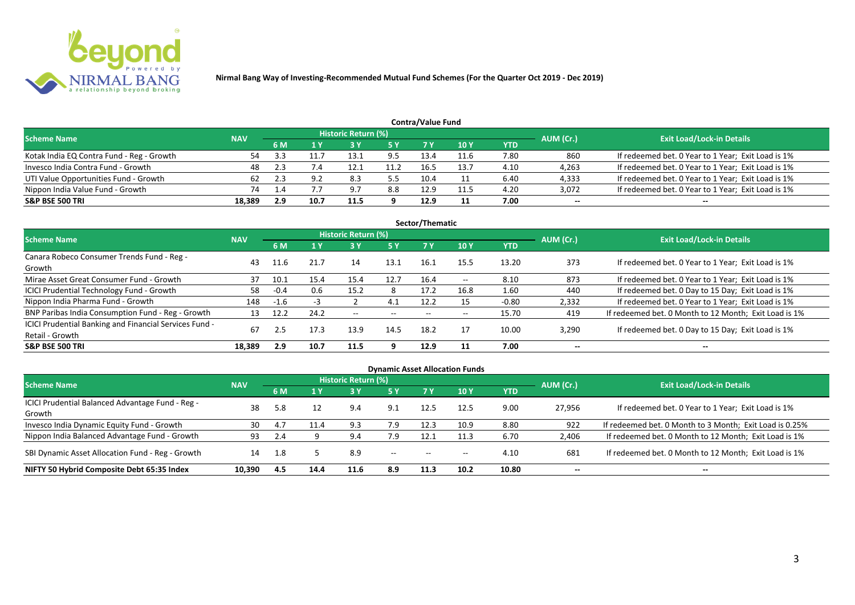

| Contra/Value Fund                         |            |     |      |                            |      |      |            |      |           |                                                    |  |  |  |  |
|-------------------------------------------|------------|-----|------|----------------------------|------|------|------------|------|-----------|----------------------------------------------------|--|--|--|--|
| <b>Scheme Name</b>                        | <b>NAV</b> |     |      | <b>Historic Return (%)</b> |      |      |            |      | AUM (Cr.) | <b>Exit Load/Lock-in Details</b>                   |  |  |  |  |
|                                           |            | 6 M |      |                            | 5 Y  | 7 V  | <b>10Y</b> | YTD  |           |                                                    |  |  |  |  |
| Kotak India EQ Contra Fund - Reg - Growth | 54         |     |      | 13.1                       | 9.5  | 13.4 | 11.6       | 7.80 | 860       | If redeemed bet. 0 Year to 1 Year; Exit Load is 1% |  |  |  |  |
| Invesco India Contra Fund - Growth        | 48         |     | 7.4  | 12.1                       | 11.2 | 16.5 | 13.7       | 4.10 | 4,263     | If redeemed bet. 0 Year to 1 Year; Exit Load is 1% |  |  |  |  |
| UTI Value Opportunities Fund - Growth     | 62         |     | 9.2  | 8.3                        | 5.5  | 10.4 |            | 6.40 | 4,333     | If redeemed bet. 0 Year to 1 Year; Exit Load is 1% |  |  |  |  |
| Nippon India Value Fund - Growth          | 74         |     |      | 9.7                        | 8.8  | 12.9 | 11.5       | 4.20 | 3,072     | If redeemed bet. 0 Year to 1 Year; Exit Load is 1% |  |  |  |  |
| <b>S&amp;P BSE 500 TRI</b>                | 18.389     | 2.9 | 10.7 | 11.5                       |      | 12.9 |            | 7.00 | $- -$     | $- -$                                              |  |  |  |  |

| Sector/Thematic                                                           |            |        |      |                          |                          |                          |                          |            |           |                                                       |  |  |  |  |
|---------------------------------------------------------------------------|------------|--------|------|--------------------------|--------------------------|--------------------------|--------------------------|------------|-----------|-------------------------------------------------------|--|--|--|--|
| <b>Scheme Name</b>                                                        | <b>NAV</b> |        |      | Historic Return (%)      |                          |                          |                          |            | AUM (Cr.) | <b>Exit Load/Lock-in Details</b>                      |  |  |  |  |
|                                                                           |            | 6 M    | 1 Y  | <b>3Y</b>                | <b>5 Y</b>               | 7 Y                      | <b>10Y</b>               | <b>YTD</b> |           |                                                       |  |  |  |  |
| Canara Robeco Consumer Trends Fund - Reg -<br>Growth                      | 43         | 11.6   | 21.7 | 14                       | 13.1                     | 16.1                     | 15.5                     | 13.20      | 373       | If redeemed bet. 0 Year to 1 Year; Exit Load is 1%    |  |  |  |  |
| Mirae Asset Great Consumer Fund - Growth                                  | 37         | 10.1   | 15.4 | 15.4                     | 12.7                     | 16.4                     | $- -$                    | 8.10       | 873       | If redeemed bet. 0 Year to 1 Year; Exit Load is 1%    |  |  |  |  |
| <b>ICICI Prudential Technology Fund - Growth</b>                          | 58         | $-0.4$ | 0.6  | 15.2                     | 8                        | 17.2                     | 16.8                     | 1.60       | 440       | If redeemed bet. 0 Day to 15 Day; Exit Load is 1%     |  |  |  |  |
| Nippon India Pharma Fund - Growth                                         | 148        | $-1.6$ |      |                          | 4.1                      | 12.2                     | 15                       | $-0.80$    | 2,332     | If redeemed bet. 0 Year to 1 Year; Exit Load is 1%    |  |  |  |  |
| BNP Paribas India Consumption Fund - Reg - Growth                         | 13         | 12.2   | 24.2 | $\overline{\phantom{a}}$ | $\overline{\phantom{m}}$ | $\overline{\phantom{a}}$ | $\overline{\phantom{a}}$ | 15.70      | 419       | If redeemed bet. 0 Month to 12 Month; Exit Load is 1% |  |  |  |  |
| ICICI Prudential Banking and Financial Services Fund -<br>Retail - Growth | 67         | 2.5    | 17.3 | 13.9                     | 14.5                     | 18.2                     | 17                       | 10.00      | 3,290     | If redeemed bet. 0 Day to 15 Day; Exit Load is 1%     |  |  |  |  |
| <b>S&amp;P BSE 500 TRI</b>                                                | 18.389     | 2.9    | 10.7 | 11.5                     | q                        | 12.9                     |                          | 7.00       | --        | $\overline{\phantom{a}}$                              |  |  |  |  |

|                                                            |            |           |      |                            |           |                   | <b>Dynamic Asset Allocation Funds</b> |            |           |                                                         |
|------------------------------------------------------------|------------|-----------|------|----------------------------|-----------|-------------------|---------------------------------------|------------|-----------|---------------------------------------------------------|
| Scheme Name                                                | <b>NAV</b> |           |      | <b>Historic Return (%)</b> |           |                   |                                       |            | AUM (Cr.) | <b>Exit Load/Lock-in Details</b>                        |
|                                                            |            | <b>6M</b> |      | <b>3 Y</b>                 | <b>5Y</b> | 7Y                | <b>10Y</b>                            | <b>YTD</b> |           |                                                         |
| ICICI Prudential Balanced Advantage Fund - Reg -<br>Growth | 38         | 5.8       | 12   | 9.4                        | 9.1       | 12.5              | 12.5                                  | 9.00       | 27,956    | If redeemed bet. 0 Year to 1 Year; Exit Load is 1%      |
| Invesco India Dynamic Equity Fund - Growth                 | 30         | 4.1       | 11.4 | 9.3                        | 7.9       | 12.3              | 10.9                                  | 8.80       | 922       | If redeemed bet. 0 Month to 3 Month; Exit Load is 0.25% |
| Nippon India Balanced Advantage Fund - Growth              | 93         |           |      | 9.4                        | 7.9       | 12.1              | 11.3                                  | 6.70       | 2,406     | If redeemed bet. 0 Month to 12 Month; Exit Load is 1%   |
| SBI Dynamic Asset Allocation Fund - Reg - Growth           | 14         | -1.8      |      | 8.9                        | $\sim$    | $\hspace{0.05cm}$ | $- -$                                 | 4.10       | 681       | If redeemed bet. 0 Month to 12 Month; Exit Load is 1%   |
| NIFTY 50 Hybrid Composite Debt 65:35 Index                 | 10,390     | 4.5       | 14.4 | 11.6                       | 8.9       | 11.3              | 10.2                                  | 10.80      | $- -$     | $- -$                                                   |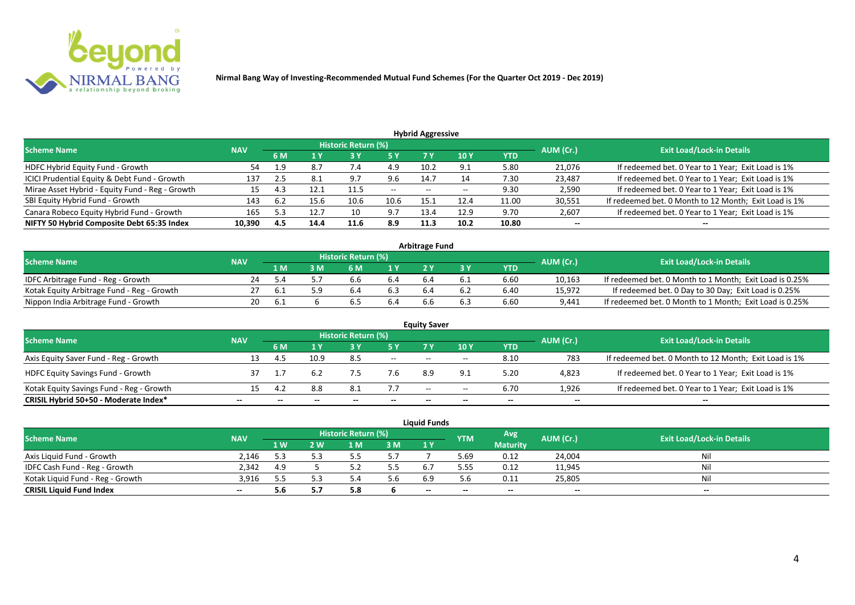

| <b>Hybrid Aggressive</b>                        |            |     |      |                            |               |      |                 |       |           |                                                       |  |  |  |  |
|-------------------------------------------------|------------|-----|------|----------------------------|---------------|------|-----------------|-------|-----------|-------------------------------------------------------|--|--|--|--|
| <b>Scheme Name</b>                              | <b>NAV</b> |     |      | <b>Historic Return (%)</b> |               |      |                 |       | AUM (Cr.) | <b>Exit Load/Lock-in Details</b>                      |  |  |  |  |
|                                                 |            | 6 M | 1 Y  |                            | <b>5Y</b>     | 7 V  | 10 <sub>Y</sub> | YTD   |           |                                                       |  |  |  |  |
| HDFC Hybrid Equity Fund - Growth                | 54         | 1.9 | 8.7  | 7.4                        | 4.9           | 10.2 | 9.1             | 5.80  | 21,076    | If redeemed bet. 0 Year to 1 Year; Exit Load is 1%    |  |  |  |  |
| ICICI Prudential Equity & Debt Fund - Growth    | 137        | 2.5 | 8.1  | 9.7                        | 9.6           | 14.7 | 14              | 7.30  | 23,487    | If redeemed bet. 0 Year to 1 Year; Exit Load is 1%    |  |  |  |  |
| Mirae Asset Hybrid - Equity Fund - Reg - Growth | 15         | 4.3 |      | 11.5                       | $\sim$ $\sim$ | $-$  | $- -$           | 9.30  | 2,590     | If redeemed bet. 0 Year to 1 Year; Exit Load is 1%    |  |  |  |  |
| SBI Equity Hybrid Fund - Growth                 | 143        | 6.2 | 15.6 | 10.6                       | 10.6          | 15.1 | 12.4            | 11.00 | 30,551    | If redeemed bet. 0 Month to 12 Month; Exit Load is 1% |  |  |  |  |
| Canara Robeco Equity Hybrid Fund - Growth       | 165        | 5.3 | 12.7 |                            | 9.7           | 13.4 | 12.9            | 9.70  | 2,607     | If redeemed bet. 0 Year to 1 Year; Exit Load is 1%    |  |  |  |  |
| NIFTY 50 Hybrid Composite Debt 65:35 Index      | 10,390     | 4.5 | 14.4 | 11.6                       | 8.9           | 11.3 | 10.2            | 10.80 | $- -$     | $- -$                                                 |  |  |  |  |

| <b>Arbitrage Fund</b>                      |            |     |     |                            |     |     |          |            |           |                                                         |  |  |  |
|--------------------------------------------|------------|-----|-----|----------------------------|-----|-----|----------|------------|-----------|---------------------------------------------------------|--|--|--|
| <b>Scheme Name</b>                         | <b>NAV</b> |     |     | <b>Historic Return (%)</b> |     |     |          |            | AUM (Cr.) | <b>Exit Load/Lock-in Details</b>                        |  |  |  |
|                                            |            | . M | : M | 6 M                        |     |     |          | <b>YTD</b> |           |                                                         |  |  |  |
| IDFC Arbitrage Fund - Reg - Growth         | 24         | 54  |     | b.b                        | b.4 |     |          | 6.60       | 10,163    | If redeemed bet. 0 Month to 1 Month; Exit Load is 0.25% |  |  |  |
| Kotak Equity Arbitrage Fund - Reg - Growth |            | b.1 |     | b.4                        | 6.3 | h.4 | : Ե.∠    | 6.40       | 15,972    | If redeemed bet. 0 Day to 30 Day; Exit Load is 0.25%    |  |  |  |
| Nippon India Arbitrage Fund - Growth       | 20         | 6.  |     | b                          | b.4 | b.b | <b>b</b> | 6.60       | 9,441     | If redeemed bet. 0 Month to 1 Month; Exit Load is 0.25% |  |  |  |

| <b>Equity Saver</b>                      |                   |  |      |                     |       |                          |       |      |           |                                                       |  |  |  |
|------------------------------------------|-------------------|--|------|---------------------|-------|--------------------------|-------|------|-----------|-------------------------------------------------------|--|--|--|
| <b>Scheme Name</b>                       |                   |  |      | Historic Return (%) |       |                          |       |      | AUM (Cr.) | <b>Exit Load/Lock-in Details</b>                      |  |  |  |
|                                          | <b>NAV</b><br>6 M |  |      | 7 V                 | 10Y   | <b>YTD</b>               |       |      |           |                                                       |  |  |  |
| Axis Equity Saver Fund - Reg - Growth    |                   |  | 10.9 | 8.5                 | $ -$  | $- -$                    | $-$   | 8.10 | 783       | If redeemed bet. 0 Month to 12 Month; Exit Load is 1% |  |  |  |
| <b>HDFC Equity Savings Fund - Growth</b> |                   |  |      |                     | 7.6   | 8.9                      | 9.1   | 5.20 | 4,823     | If redeemed bet. 0 Year to 1 Year; Exit Load is 1%    |  |  |  |
| Kotak Equity Savings Fund - Reg - Growth |                   |  | 8.8  | 8.1                 | 7.7   | $\overline{\phantom{a}}$ | $- -$ | 6.70 | 1,926     | If redeemed bet. 0 Year to 1 Year; Exit Load is 1%    |  |  |  |
| CRISIL Hybrid 50+50 - Moderate Index*    |                   |  |      |                     | $- -$ |                          | --    |      | $- -$     |                                                       |  |  |  |

| <b>Liquid Funds</b>              |            |      |     |                            |     |       |            |                 |           |                                  |  |  |
|----------------------------------|------------|------|-----|----------------------------|-----|-------|------------|-----------------|-----------|----------------------------------|--|--|
| <b>Scheme Name</b>               | <b>NAV</b> |      |     | <b>Historic Return (%)</b> |     |       | <b>YTM</b> | Avg             | AUM (Cr.) | <b>Exit Load/Lock-in Details</b> |  |  |
|                                  |            | 1 W/ | 2 W | 1 M                        | 3M  | 1 Y   |            | <b>Maturity</b> |           |                                  |  |  |
| Axis Liquid Fund - Growth        | 2.146      | 5.3  |     |                            | 5.7 |       | 5.69       | 0.12            | 24,004    | Nil                              |  |  |
| IDFC Cash Fund - Reg - Growth    | 2.342      | 4.9  |     |                            | 5.5 |       | 5.55       | 0.12            | 11,945    | Nil                              |  |  |
| Kotak Liquid Fund - Reg - Growth | 3.916      | 5.5  |     |                            | 5.6 | 6.9   | 5.6        | 0.11            | 25,805    | Nil                              |  |  |
| <b>CRISIL Liquid Fund Index</b>  | $- -$      | b    |     | -                          |     | $- -$ | --         | $- -$           | $- -$     | $- -$                            |  |  |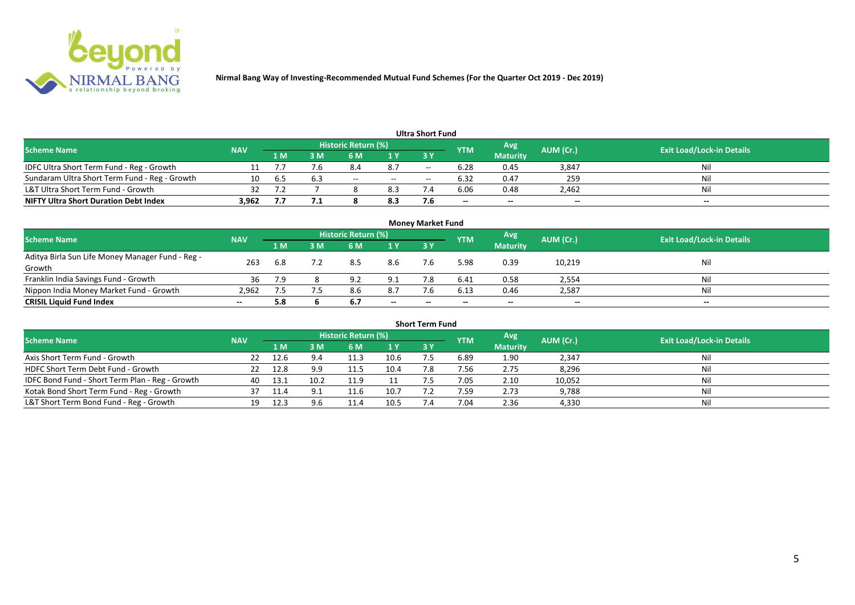

| <b>Ultra Short Fund</b>                       |            |     |     |                            |               |                          |                          |                 |           |                                  |  |  |  |
|-----------------------------------------------|------------|-----|-----|----------------------------|---------------|--------------------------|--------------------------|-----------------|-----------|----------------------------------|--|--|--|
| <b>Scheme Name</b>                            | <b>NAV</b> |     |     | <b>Historic Return (%)</b> |               |                          | <b>YTM</b>               | Avg             | AUM (Cr.) | <b>Exit Load/Lock-in Details</b> |  |  |  |
|                                               |            | 1 M | : M | 6 M                        | 1 Y           | 3 Y                      |                          | <b>Maturity</b> |           |                                  |  |  |  |
| IDFC Ultra Short Term Fund - Reg - Growth     |            |     | 7.6 | 8.4                        | 8.7           | $\overline{\phantom{a}}$ | 6.28                     | 0.45            | 3,847     | Nil                              |  |  |  |
| Sundaram Ultra Short Term Fund - Reg - Growth | 10         | 6.5 | 6.3 | $- -$                      | $\sim$ $\sim$ | $\overline{\phantom{a}}$ | 6.32                     | 0.47            | 259       | Nil                              |  |  |  |
| L&T Ultra Short Term Fund - Growth            | 32         |     |     |                            | 8.3           |                          | 6.06                     | 0.48            | 2,462     | Nil                              |  |  |  |
| <b>NIFTY Ultra Short Duration Debt Index</b>  | 3.962      |     | 7.1 |                            | 8.3           |                          | $\overline{\phantom{a}}$ | $- -$           | $- -$     | $- -$                            |  |  |  |

| <b>Money Market Fund</b>                                   |            |                |                                           |     |           |                                  |       |                 |        |       |  |  |
|------------------------------------------------------------|------------|----------------|-------------------------------------------|-----|-----------|----------------------------------|-------|-----------------|--------|-------|--|--|
| <b>Scheme Name</b>                                         | <b>NAV</b> |                | Historic Return (%)<br>Avg'<br><b>YTM</b> |     | AUM (Cr.) | <b>Exit Load/Lock-in Details</b> |       |                 |        |       |  |  |
|                                                            |            | 1 <sub>M</sub> | MК                                        | 6 M | 1Y        | <b>3Y</b>                        |       | <b>Maturity</b> |        |       |  |  |
| Aditya Birla Sun Life Money Manager Fund - Reg -<br>Growth | 263        | 6.8            |                                           | 8.5 | 8.6       |                                  | 5.98  | 0.39            | 10,219 | Nil   |  |  |
| Franklin India Savings Fund - Growth                       | 36         | 7.9            |                                           | 9.2 | 9.1       |                                  | 6.41  | 0.58            | 2,554  | Nil   |  |  |
| Nippon India Money Market Fund - Growth                    | 2,962      |                |                                           |     | 8.7       |                                  | 6.13  | 0.46            | 2,587  | Nil   |  |  |
| <b>CRISIL Liquid Fund Index</b>                            | $- -$      | 5.8            |                                           | 6.7 | $- -$     | $- -$                            | $- -$ | $- -$           | $- -$  | $- -$ |  |  |

| <b>Short Term Fund</b>                          |            |      |      |                     |      |           |            |                 |           |                                  |  |  |  |
|-------------------------------------------------|------------|------|------|---------------------|------|-----------|------------|-----------------|-----------|----------------------------------|--|--|--|
| <b>Scheme Name</b>                              | <b>NAV</b> |      |      | Historic Return (%) |      |           | <b>YTM</b> | Avg             | AUM (Cr.) | <b>Exit Load/Lock-in Details</b> |  |  |  |
|                                                 |            | 1 M  | 3 M  | 6 M                 | 1Y   | <b>3Y</b> |            | <b>Maturity</b> |           |                                  |  |  |  |
| Axis Short Term Fund - Growth                   | 22         | 12.6 | 9.4  | 11.3                | 10.6 |           | 6.89       | 1.90            | 2,347     | Nil                              |  |  |  |
| HDFC Short Term Debt Fund - Growth              |            | 12.8 | 9.9  | 11.5                | 10.4 | 7.8       | 7.56       | 2.75            | 8,296     | Nil                              |  |  |  |
| IDFC Bond Fund - Short Term Plan - Reg - Growth | 40         | 13.1 | 10.2 | 11.9                |      |           | 7.05       | 2.10            | 10,052    | Nil                              |  |  |  |
| Kotak Bond Short Term Fund - Reg - Growth       |            |      |      | 11.6                | 10.7 |           | 7.59       | 2.73            | 9,788     | Nil                              |  |  |  |
| L&T Short Term Bond Fund - Reg - Growth         | 19         | 12.3 | 9.6  |                     | 10.5 |           | 7.04       | 2.36            | 4,330     | Nil                              |  |  |  |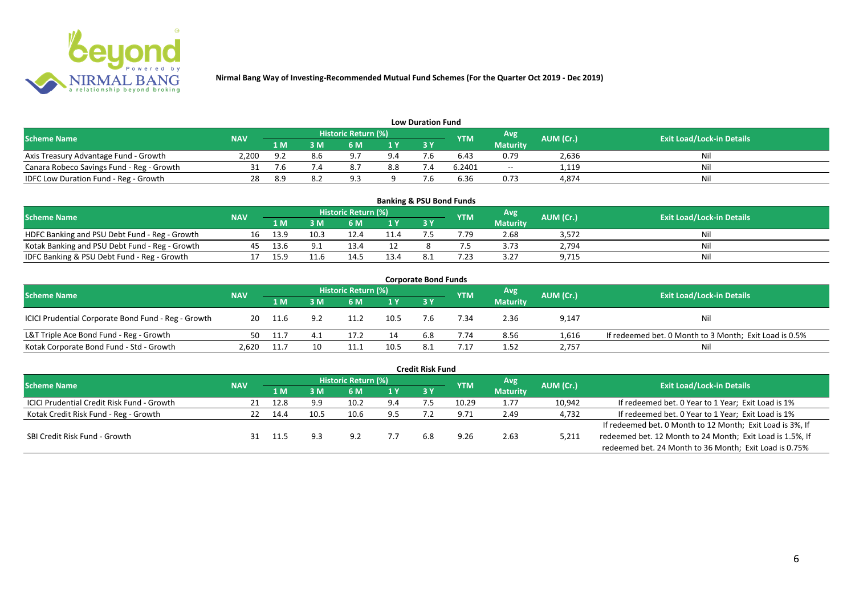

| <b>Low Duration Fund</b>                  |            |     |     |                            |     |    |            |                 |           |                                  |  |  |  |
|-------------------------------------------|------------|-----|-----|----------------------------|-----|----|------------|-----------------|-----------|----------------------------------|--|--|--|
| <b>Scheme Name</b>                        | <b>NAV</b> |     |     | <b>Historic Return (%)</b> |     |    | <b>YTM</b> | Avg             | AUM (Cr.) | <b>Exit Load/Lock-in Details</b> |  |  |  |
|                                           |            | 1 M | 3 M |                            | 1Y  | 3Y |            | <b>Maturity</b> |           |                                  |  |  |  |
| Axis Treasury Advantage Fund - Growth     | 2.200      | . വ |     | 07                         | 9.4 |    | 6.43       | 0.79            | 2,636     | Ni                               |  |  |  |
| Canara Robeco Savings Fund - Reg - Growth |            |     |     | $^{\circ}$                 | 8.8 |    | 6.2401     | $-$             | 1,119     | Nil                              |  |  |  |
| IDFC Low Duration Fund - Reg - Growth     |            | 8.9 |     | െ                          |     |    | 6.36       | 0.73            | 4,874     | Nil                              |  |  |  |

| <b>Banking &amp; PSU Bond Funds</b>            |            |      |      |                            |      |           |            |                 |           |                                  |  |  |  |
|------------------------------------------------|------------|------|------|----------------------------|------|-----------|------------|-----------------|-----------|----------------------------------|--|--|--|
| <b>Scheme Name</b>                             | <b>NAV</b> |      |      | <b>Historic Return (%)</b> |      |           | <b>YTM</b> | Avg             | AUM (Cr.) | <b>Exit Load/Lock-in Details</b> |  |  |  |
|                                                |            | 1 M  |      | 6 M                        |      | <b>3Y</b> |            | <b>Maturity</b> |           |                                  |  |  |  |
| HDFC Banking and PSU Debt Fund - Reg - Growth  | 16         | 13.9 | 10.3 |                            | 11.4 |           | 1.79       | 2.68            | 3,572     | Nil                              |  |  |  |
| Kotak Banking and PSU Debt Fund - Reg - Growth | 45         | 13.6 |      | 13.4                       |      |           |            | 3.73            | 2,794     | Nil                              |  |  |  |
| IDFC Banking & PSU Debt Fund - Reg - Growth    |            | 15.9 |      | 14.5                       | 13.4 |           | ົາ         | 3.27            | 9,715     | Nil                              |  |  |  |

| <b>Corporate Bond Funds</b>                         |            |       |   |                     |      |           |                   |                 |           |                                                        |  |  |
|-----------------------------------------------------|------------|-------|---|---------------------|------|-----------|-------------------|-----------------|-----------|--------------------------------------------------------|--|--|
| <b>Scheme Name</b>                                  | <b>NAV</b> |       |   | Historic Return (%) |      |           | Avg<br><b>YTM</b> |                 | AUM (Cr.) | <b>Exit Load/Lock-in Details</b>                       |  |  |
|                                                     |            | 1 M   | M | 6 M                 | 1 Y  | <b>3Y</b> |                   | <b>Maturity</b> |           |                                                        |  |  |
| ICICI Prudential Corporate Bond Fund - Reg - Growth | 20         | 11.6  |   | 11.2                | 10.5 |           | .34               | 2.36            | 9,147     | Nil                                                    |  |  |
| L&T Triple Ace Bond Fund - Reg - Growth             | 50         | -11.7 |   |                     | 14   | 6.8       | 7.74              | 8.56            | 1,616     | If redeemed bet. 0 Month to 3 Month; Exit Load is 0.5% |  |  |
| Kotak Corporate Bond Fund - Std - Growth            | 2.620      | 11.7  |   | 11.1                | 10.5 |           | .17               | 1.52            | 2,757     | Nil                                                    |  |  |

| <b>Credit Risk Fund</b>                           |            |      |      |                            |     |            |            |                 |           |                                                           |  |  |  |
|---------------------------------------------------|------------|------|------|----------------------------|-----|------------|------------|-----------------|-----------|-----------------------------------------------------------|--|--|--|
| <b>Scheme Name</b>                                | <b>NAV</b> |      |      | <b>Historic Return (%)</b> |     |            | <b>YTM</b> | Avg             | AUM (Cr.) | <b>Exit Load/Lock-in Details</b>                          |  |  |  |
|                                                   |            | 1 M. | 3 M  | 6 M                        | 1 Y | <b>3 Y</b> |            | <b>Maturity</b> |           |                                                           |  |  |  |
| <b>ICICI Prudential Credit Risk Fund - Growth</b> | 21         | 12.8 | 9.9  | 10.2                       | 9.4 |            | 10.29      | 1.77            | 10,942    | If redeemed bet. 0 Year to 1 Year; Exit Load is 1%        |  |  |  |
| Kotak Credit Risk Fund - Reg - Growth             |            | 14.4 | 10.5 | 10.6                       | 9.5 |            | 9.71       | 2.49            | 4,732     | If redeemed bet. 0 Year to 1 Year; Exit Load is 1%        |  |  |  |
|                                                   |            |      |      |                            |     |            |            |                 |           | If redeemed bet. 0 Month to 12 Month; Exit Load is 3%, If |  |  |  |
| SBI Credit Risk Fund - Growth                     |            |      |      | 92                         |     | 6.8        | 9.26       | 2.63            | 5,211     | redeemed bet. 12 Month to 24 Month; Exit Load is 1.5%, If |  |  |  |
|                                                   |            |      |      |                            |     |            |            |                 |           | redeemed bet. 24 Month to 36 Month; Exit Load is 0.75%    |  |  |  |